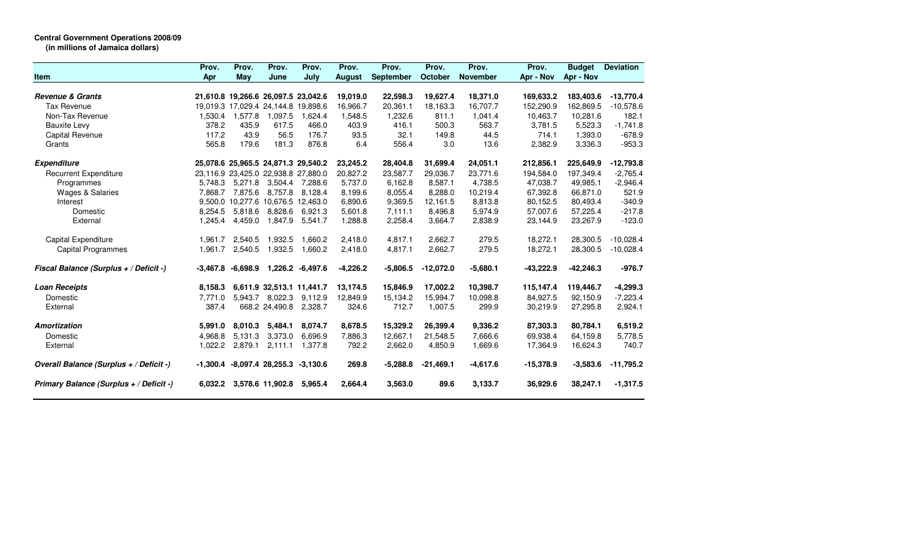## **Central Government Operations 2008/09**

**(in millions of Jamaica dollars)**

|                                         | Prov.    | Prov.                               | Prov.                     | Prov.            | Prov.         | Prov.            | Prov.       | Prov.           | Prov.       | <b>Budget</b> | <b>Deviation</b> |
|-----------------------------------------|----------|-------------------------------------|---------------------------|------------------|---------------|------------------|-------------|-----------------|-------------|---------------|------------------|
| <b>Item</b>                             | Apr      | May                                 | June                      | July             | <b>August</b> | <b>September</b> | October     | <b>November</b> | Apr - Nov   | Apr - Nov     |                  |
| <b>Revenue &amp; Grants</b>             |          | 21,610.8 19,266.6 26,097.5 23,042.6 |                           |                  | 19,019.0      | 22,598.3         | 19,627.4    | 18,371.0        | 169,633.2   | 183,403.6     | $-13,770.4$      |
| <b>Tax Revenue</b>                      |          | 19,019.3 17,029.4 24,144.8 19,898.6 |                           |                  | 16,966.7      | 20,361.1         | 18,163.3    | 16,707.7        | 152,290.9   | 162,869.5     | $-10,578.6$      |
| Non-Tax Revenue                         | 1,530.4  | 1,577.8                             | 1,097.5                   | 1,624.4          | 1,548.5       | 1,232.6          | 811.1       | 1,041.4         | 10,463.7    | 10,281.6      | 182.1            |
| <b>Bauxite Levy</b>                     | 378.2    | 435.9                               | 617.5                     | 466.0            | 403.9         | 416.1            | 500.3       | 563.7           | 3.781.5     | 5.523.3       | $-1,741.8$       |
| Capital Revenue                         | 117.2    | 43.9                                | 56.5                      | 176.7            | 93.5          | 32.1             | 149.8       | 44.5            | 714.1       | 1,393.0       | $-678.9$         |
| Grants                                  | 565.8    | 179.6                               | 181.3                     | 876.8            | 6.4           | 556.4            | 3.0         | 13.6            | 2,382.9     | 3,336.3       | $-953.3$         |
| <b>Expenditure</b>                      |          | 25,078.6 25,965.5 24,871.3 29,540.2 |                           |                  | 23,245.2      | 28,404.8         | 31,699.4    | 24,051.1        | 212,856.1   | 225,649.9     | $-12,793.8$      |
| <b>Recurrent Expenditure</b>            |          | 23,116.9 23,425.0 22,938.8 27,880.0 |                           |                  | 20,827.2      | 23,587.7         | 29.036.7    | 23,771.6        | 194,584.0   | 197,349.4     | $-2,765.4$       |
| Programmes                              | 5.748.3  | 5,271.8                             | 3,504.4                   | 7.288.6          | 5.737.0       | 6,162.8          | 8,587.1     | 4,738.5         | 47,038.7    | 49,985.1      | $-2,946.4$       |
| Wages & Salaries                        | 7.868.7  | 7,875.6                             | 8,757.8                   | 8,128.4          | 8,199.6       | 8,055.4          | 8,288.0     | 10,219.4        | 67,392.8    | 66,871.0      | 521.9            |
| Interest                                |          | 9,500.0 10,277.6 10,676.5 12,463.0  |                           |                  | 6,890.6       | 9,369.5          | 12,161.5    | 8,813.8         | 80,152.5    | 80,493.4      | $-340.9$         |
| Domestic                                | 8,254.5  | 5,818.6                             | 8,828.6                   | 6,921.3          | 5,601.8       | 7,111.1          | 8,496.8     | 5,974.9         | 57,007.6    | 57,225.4      | $-217.8$         |
| External                                | 1,245.4  | 4,459.0                             | 1,847.9                   | 5,541.7          | 1,288.8       | 2,258.4          | 3,664.7     | 2,838.9         | 23,144.9    | 23,267.9      | $-123.0$         |
| Capital Expenditure                     | 1,961.7  | 2,540.5                             | 1,932.5                   | 1.660.2          | 2,418.0       | 4,817.1          | 2,662.7     | 279.5           | 18,272.1    | 28,300.5      | $-10,028.4$      |
| Capital Programmes                      | 1,961.7  | 2,540.5                             | 1,932.5                   | 1,660.2          | 2,418.0       | 4,817.1          | 2,662.7     | 279.5           | 18,272.1    | 28,300.5      | $-10,028.4$      |
| Fiscal Balance (Surplus + / Deficit -)  | -3,467.8 | $-6,698.9$                          |                           | 1,226.2 -6,497.6 | $-4,226.2$    | $-5,806.5$       | $-12,072.0$ | $-5,680.1$      | $-43,222.9$ | $-42,246.3$   | $-976.7$         |
| <b>Loan Receipts</b>                    | 8.158.3  |                                     | 6,611.9 32,513.1 11,441.7 |                  | 13,174.5      | 15,846.9         | 17,002.2    | 10,398.7        | 115,147.4   | 119,446.7     | $-4,299.3$       |
| Domestic                                | 7.771.0  |                                     | 5,943.7 8,022.3           | 9,112.9          | 12,849.9      | 15,134.2         | 15,994.7    | 10,098.8        | 84,927.5    | 92,150.9      | $-7,223.4$       |
| External                                | 387.4    |                                     | 668.2 24,490.8            | 2,328.7          | 324.6         | 712.7            | 1,007.5     | 299.9           | 30,219.9    | 27,295.8      | 2,924.1          |
| <b>Amortization</b>                     | 5,991.0  | 8.010.3                             | 5,484.1                   | 8.074.7          | 8,678.5       | 15,329.2         | 26,399.4    | 9,336.2         | 87,303.3    | 80,784.1      | 6,519.2          |
| Domestic                                | 4,968.8  | 5,131.3                             | 3,373.0                   | 6,696.9          | 7,886.3       | 12,667.1         | 21,548.5    | 7,666.6         | 69,938.4    | 64,159.8      | 5,778.5          |
| External                                | 1,022.2  | 2,879.1                             | 2,111.1                   | 1.377.8          | 792.2         | 2,662.0          | 4,850.9     | 1,669.6         | 17,364.9    | 16,624.3      | 740.7            |
| Overall Balance (Surplus + / Deficit -) | -1,300.4 |                                     | $-8,097.4$ 28,255.3       | $-3,130.6$       | 269.8         | $-5,288.8$       | $-21,469.1$ | $-4,617.6$      | $-15,378.9$ | $-3,583.6$    | $-11,795.2$      |
| Primary Balance (Surplus + / Deficit -) | 6.032.2  |                                     | 3,578.6 11,902.8          | 5,965.4          | 2,664.4       | 3,563.0          | 89.6        | 3,133.7         | 36,929.6    | 38,247.1      | $-1,317.5$       |